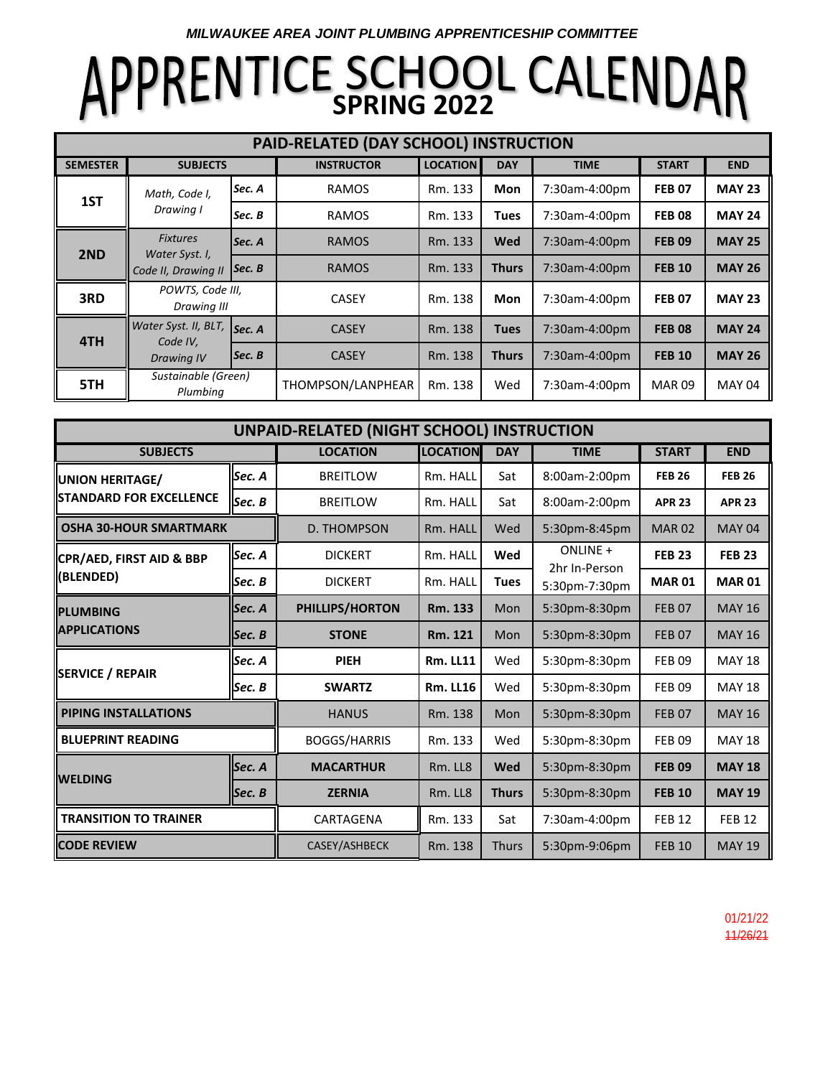*MILWAUKEE AREA JOINT PLUMBING APPRENTICESHIP COMMITTEE*

# **APPRENTICE SCHOOL CALENDAR**

| PAID-RELATED (DAY SCHOOL) INSTRUCTION |                                                          |                                |                   |                 |              |               |               |               |  |  |  |  |
|---------------------------------------|----------------------------------------------------------|--------------------------------|-------------------|-----------------|--------------|---------------|---------------|---------------|--|--|--|--|
| <b>SEMESTER</b>                       | <b>SUBJECTS</b>                                          |                                | <b>INSTRUCTOR</b> | <b>LOCATION</b> | <b>DAY</b>   | <b>TIME</b>   | <b>START</b>  | <b>END</b>    |  |  |  |  |
| 1ST                                   | Math, Code I,<br>Drawing I                               | Sec. A                         | <b>RAMOS</b>      | Rm. 133         | <b>Mon</b>   | 7:30am-4:00pm | <b>FEB 07</b> | <b>MAY 23</b> |  |  |  |  |
|                                       |                                                          | Sec. B                         | <b>RAMOS</b>      | Rm. 133         | <b>Tues</b>  | 7:30am-4:00pm | <b>FEB 08</b> | <b>MAY 24</b> |  |  |  |  |
| 2ND                                   | <b>Fixtures</b><br>Water Syst. I,<br>Code II, Drawing II | lSec. A                        | <b>RAMOS</b>      | Rm. 133         | Wed          | 7:30am-4:00pm | <b>FEB 09</b> | <b>MAY 25</b> |  |  |  |  |
|                                       |                                                          | $\left  \text{Sec. B} \right $ | <b>RAMOS</b>      | Rm. 133         | <b>Thurs</b> | 7:30am-4:00pm | <b>FEB 10</b> | <b>MAY 26</b> |  |  |  |  |
| 3RD                                   | POWTS, Code III,<br>Drawing III                          |                                | <b>CASEY</b>      | Rm. 138         | Mon          | 7:30am-4:00pm | <b>FEB 07</b> | <b>MAY 23</b> |  |  |  |  |
| 4TH                                   | Water Syst. II, BLT,<br>Code IV,<br>Drawing IV           | Sec. A                         | <b>CASEY</b>      | Rm. 138         | <b>Tues</b>  | 7:30am-4:00pm | <b>FEB 08</b> | <b>MAY 24</b> |  |  |  |  |
|                                       |                                                          | Sec. B                         | <b>CASEY</b>      | Rm. 138         | <b>Thurs</b> | 7:30am-4:00pm | <b>FEB 10</b> | <b>MAY 26</b> |  |  |  |  |
| 5TH                                   | Sustainable (Green)<br>Plumbing                          |                                | THOMPSON/LANPHEAR | Rm. 138         | Wed          | 7:30am-4:00pm | <b>MAR 09</b> | <b>MAY 04</b> |  |  |  |  |

| UNPAID-RELATED (NIGHT SCHOOL) INSTRUCTION |                     |                  |                 |               |                                            |               |               |  |  |  |  |
|-------------------------------------------|---------------------|------------------|-----------------|---------------|--------------------------------------------|---------------|---------------|--|--|--|--|
| <b>SUBJECTS</b>                           | <b>LOCATION</b>     | <b>LOCATION</b>  | <b>DAY</b>      | <b>TIME</b>   | <b>START</b>                               | <b>END</b>    |               |  |  |  |  |
| <b>UNION HERITAGE/</b>                    | Sec. A              | <b>BREITLOW</b>  | Rm. HALL        | Sat           | 8:00am-2:00pm                              | <b>FEB 26</b> | <b>FEB 26</b> |  |  |  |  |
| <b>STANDARD FOR EXCELLENCE</b>            | Sec. B              | <b>BREITLOW</b>  | Rm. HALL        | Sat           | 8:00am-2:00pm                              | <b>APR 23</b> | <b>APR 23</b> |  |  |  |  |
| <b>OSHA 30-HOUR SMARTMARK</b>             | D. THOMPSON         | Rm. HALL         | Wed             | 5:30pm-8:45pm | <b>MAR 02</b>                              | <b>MAY 04</b> |               |  |  |  |  |
| CPR/AED, FIRST AID & BBP                  | Sec. A              | <b>DICKERT</b>   | Rm. HALL        | Wed           | ONLINE +<br>2hr In-Person<br>5:30pm-7:30pm | <b>FEB 23</b> | <b>FEB 23</b> |  |  |  |  |
| (BLENDED)                                 | Sec. B              | <b>DICKERT</b>   | Rm. HALL        | <b>Tues</b>   |                                            | <b>MAR 01</b> | <b>MAR01</b>  |  |  |  |  |
| <b>PLUMBING</b>                           | Sec. A              | PHILLIPS/HORTON  | Rm. 133         | Mon           | 5:30pm-8:30pm                              | <b>FEB07</b>  | <b>MAY 16</b> |  |  |  |  |
| <b>APPLICATIONS</b>                       | Sec. B              | <b>STONE</b>     | Rm. 121         | Mon           | 5:30pm-8:30pm                              | <b>FEB07</b>  | <b>MAY 16</b> |  |  |  |  |
| <b>SERVICE / REPAIR</b>                   | Sec. A              | <b>PIEH</b>      | <b>Rm. LL11</b> | Wed           | 5:30pm-8:30pm                              | <b>FEB09</b>  | <b>MAY 18</b> |  |  |  |  |
|                                           | lSec. B             | <b>SWARTZ</b>    | <b>Rm. LL16</b> | Wed           | 5:30pm-8:30pm                              | <b>FEB09</b>  | <b>MAY 18</b> |  |  |  |  |
| <b>PIPING INSTALLATIONS</b>               | <b>HANUS</b>        | Rm. 138          | <b>Mon</b>      | 5:30pm-8:30pm | <b>FEB07</b>                               | <b>MAY 16</b> |               |  |  |  |  |
| <b>BLUEPRINT READING</b>                  | <b>BOGGS/HARRIS</b> | Rm. 133          | Wed             | 5:30pm-8:30pm | <b>FEB09</b>                               | <b>MAY 18</b> |               |  |  |  |  |
| <b>WELDING</b>                            | Sec. A              | <b>MACARTHUR</b> | Rm. LL8         | Wed           | 5:30pm-8:30pm                              | <b>FEB 09</b> | <b>MAY 18</b> |  |  |  |  |
|                                           | Sec. B              | <b>ZERNIA</b>    | Rm. LL8         | <b>Thurs</b>  | 5:30pm-8:30pm                              | <b>FEB 10</b> | <b>MAY 19</b> |  |  |  |  |
| <b>TRANSITION TO TRAINER</b>              | CARTAGENA           | Rm. 133          | Sat             | 7:30am-4:00pm | <b>FEB 12</b>                              | <b>FEB 12</b> |               |  |  |  |  |
| <b>CODE REVIEW</b>                        | CASEY/ASHBECK       | Rm. 138          | <b>Thurs</b>    | 5:30pm-9:06pm | <b>FEB 10</b>                              | <b>MAY 19</b> |               |  |  |  |  |

01/21/22 11/26/21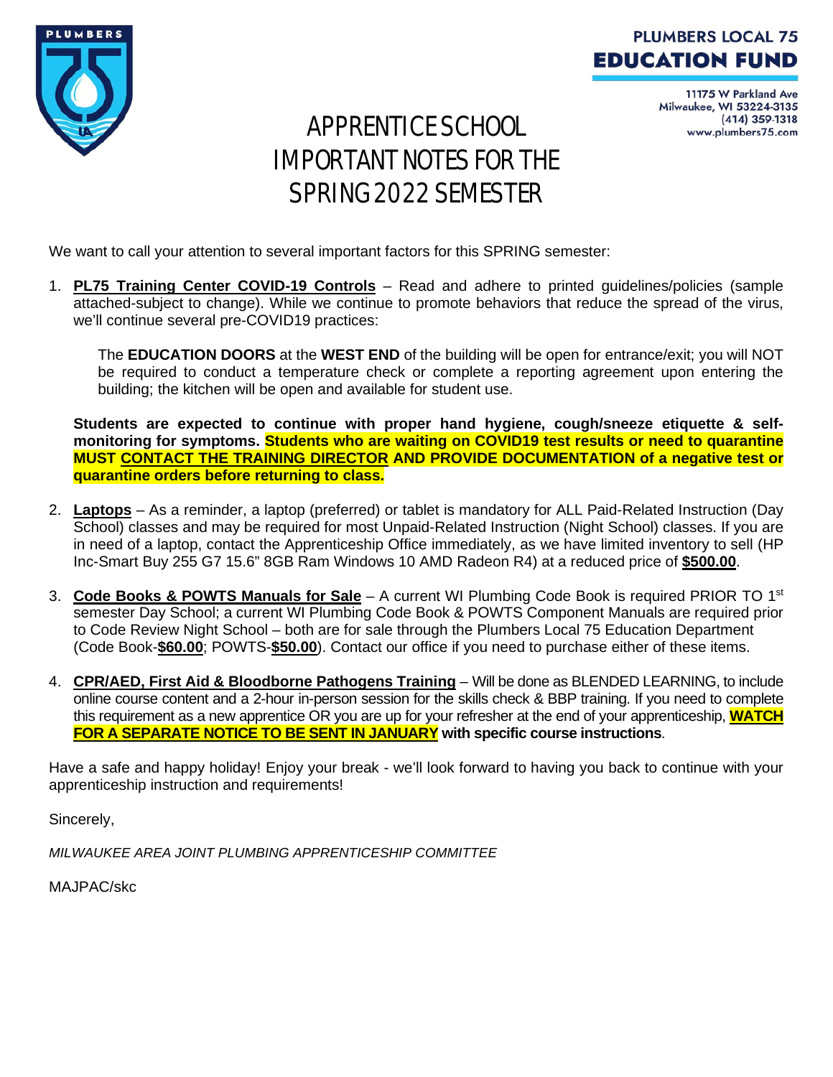

#### **PLUMBERS LOCAL 75 EDUCATION FUND**

11175 W Parkland Ave Milwaukee, WI 53224-3135 (414) 359-1318 www.plumbers75.com

### APPRENTICE SCHOOL IMPORTANT NOTES FOR THE SPRING 2022 SEMESTER

We want to call your attention to several important factors for this SPRING semester:

1. **PL75 Training Center COVID-19 Controls** – Read and adhere to printed guidelines/policies (sample attached-subject to change). While we continue to promote behaviors that reduce the spread of the virus, we'll continue several pre-COVID19 practices:

The **EDUCATION DOORS** at the **WEST END** of the building will be open for entrance/exit; you will NOT be required to conduct a temperature check or complete a reporting agreement upon entering the building; the kitchen will be open and available for student use.

**Students are expected to continue with proper hand hygiene, cough/sneeze etiquette & selfmonitoring for symptoms. Students who are waiting on COVID19 test results or need to quarantine MUST CONTACT THE TRAINING DIRECTOR AND PROVIDE DOCUMENTATION of a negative test or quarantine orders before returning to class.**

- 2. **Laptops** As a reminder, a laptop (preferred) or tablet is mandatory for ALL Paid-Related Instruction (Day School) classes and may be required for most Unpaid-Related Instruction (Night School) classes. If you are in need of a laptop, contact the Apprenticeship Office immediately, as we have limited inventory to sell (HP Inc-Smart Buy 255 G7 15.6" 8GB Ram Windows 10 AMD Radeon R4) at a reduced price of **\$500.00**.
- 3. **Code Books & POWTS Manuals for Sale** A current WI Plumbing Code Book is required PRIOR TO 1st semester Day School; a current WI Plumbing Code Book & POWTS Component Manuals are required prior to Code Review Night School – both are for sale through the Plumbers Local 75 Education Department (Code Book-**\$60.00**; POWTS-**\$50.00**). Contact our office if you need to purchase either of these items.
- 4. **CPR/AED, First Aid & Bloodborne Pathogens Training** Will be done as BLENDED LEARNING, to include online course content and a 2-hour in-person session for the skills check & BBP training. If you need to complete this requirement as a new apprentice OR you are up for your refresher at the end of your apprenticeship, **WATCH FOR A SEPARATE NOTICE TO BE SENT IN JANUARY with specific course instructions**.

Have a safe and happy holiday! Enjoy your break - we'll look forward to having you back to continue with your apprenticeship instruction and requirements!

Sincerely,

*MILWAUKEE AREA JOINT PLUMBING APPRENTICESHIP COMMITTEE*

MAJPAC/skc